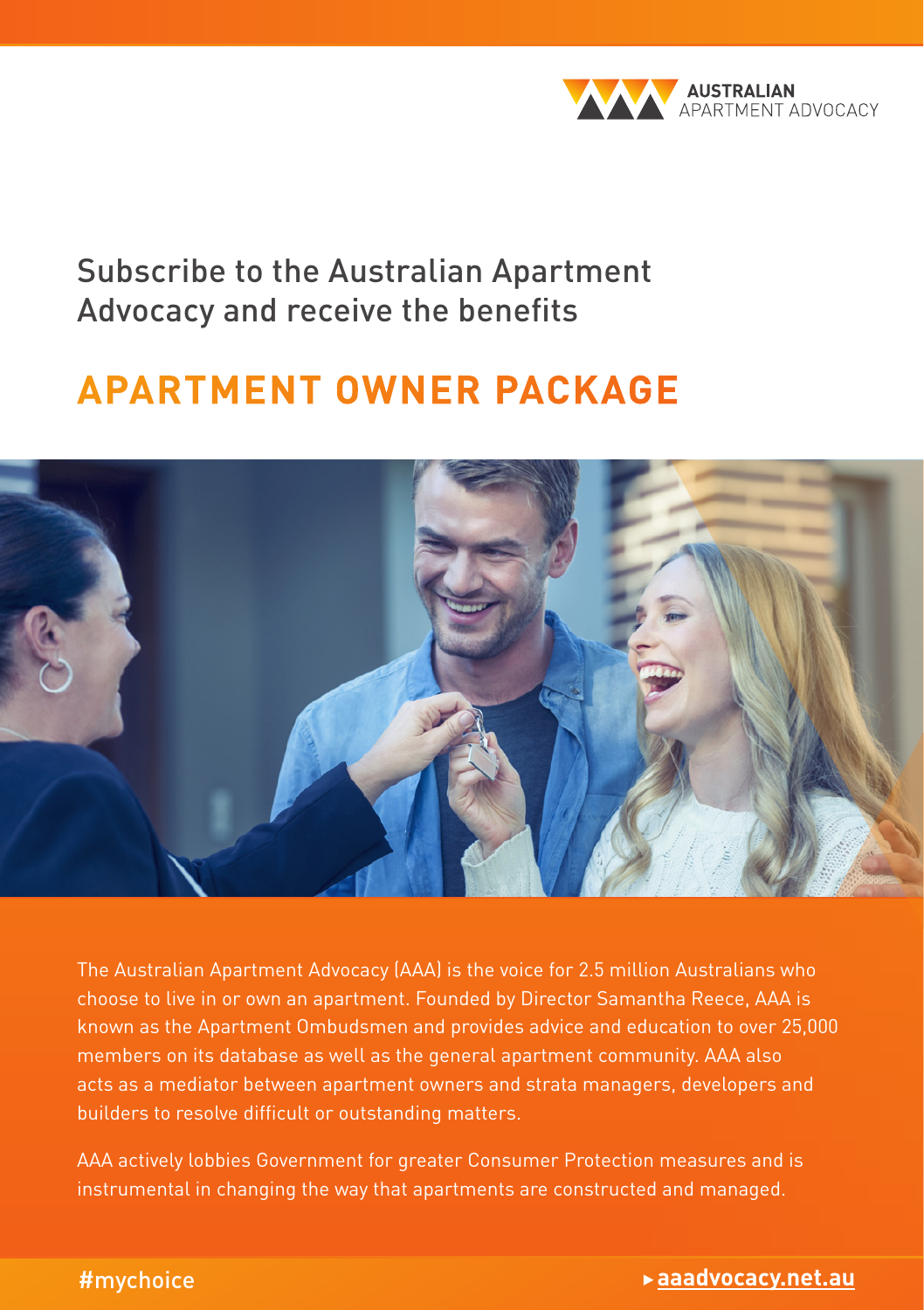

Subscribe to the Australian Apartment Advocacy and receive the benefits

## **APARTMENT OWNER PACKAGE**



The Australian Apartment Advocacy (AAA) is the voice for 2.5 million Australians who choose to live in or own an apartment. Founded by Director Samantha Reece, AAA is known as the Apartment Ombudsmen and provides advice and education to over 25,000 members on its database as well as the general apartment community. AAA also acts as a mediator between apartment owners and strata managers, developers and builders to resolve difficult or outstanding matters.

AAA actively lobbies Government for greater Consumer Protection measures and is instrumental in changing the way that apartments are constructed and managed.

#### #mychoice

#### What you need to know about living in an apartment | Owner's guide 1 **aaadvocacy.net.au**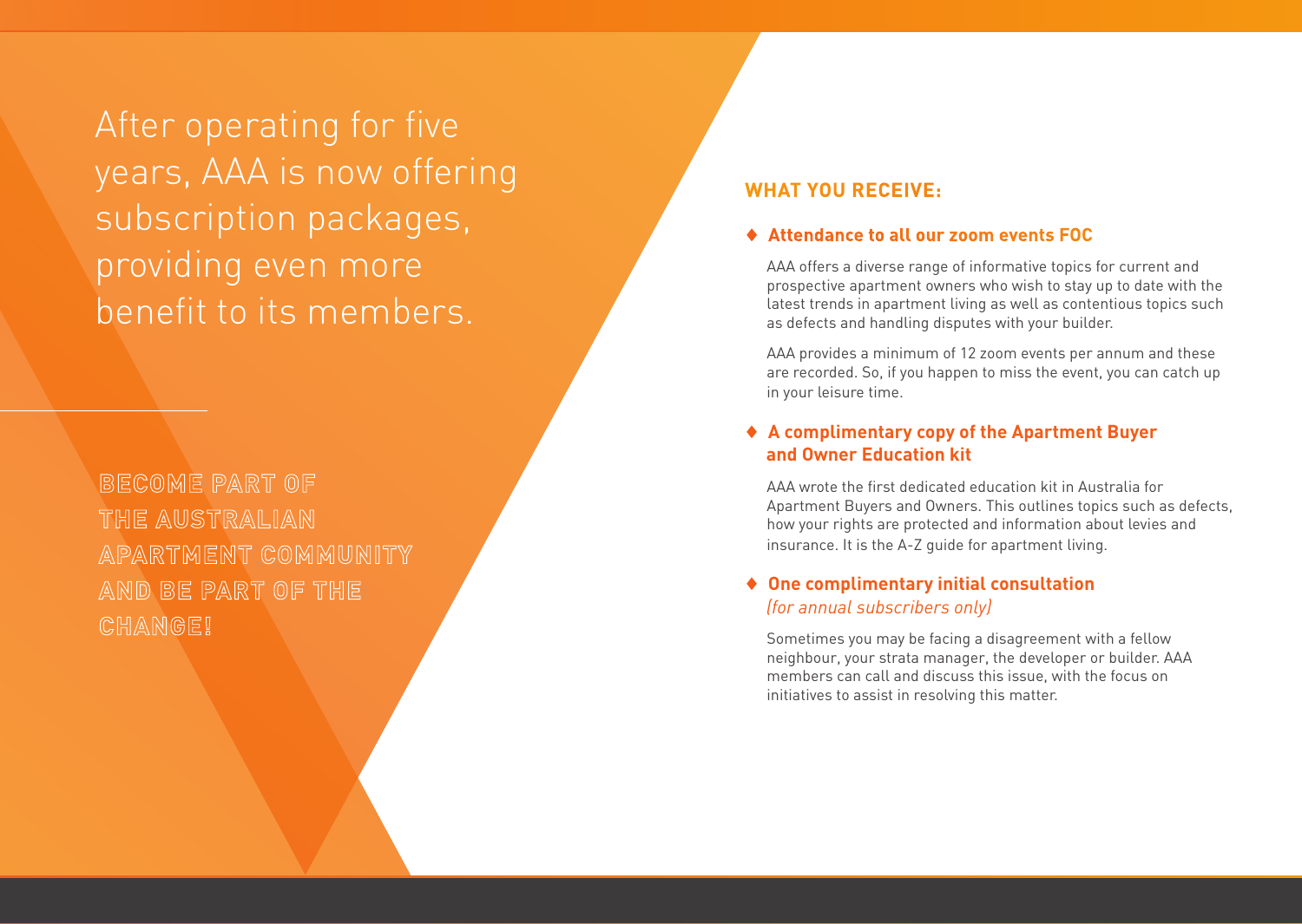After operating for five years, AAA is now offering subscription packages, providing even more benefit to its members.

**BECOME PART OF THE AUSTRALIAN APARTMENT COMMUNITY AND BE PART OF THE CHANGE!**

#### **WHAT YOU RECEIVE:**

#### ♦ **Attendance to all our zoom events FOC**

AAA offers a diverse range of informative topics for current and prospective apartment owners who wish to stay up to date with the latest trends in apartment living as well as contentious topics such as defects and handling disputes with your builder.

AAA provides a minimum of 12 zoom events per annum and these are recorded. So, if you happen to miss the event, you can catch up in your leisure time.

#### ♦ **A complimentary copy of the Apartment Buyer and Owner Education kit**

AAA wrote the first dedicated education kit in Australia for Apartment Buyers and Owners. This outlines topics such as defects, how your rights are protected and information about levies and insurance. It is the A-Z guide for apartment living.

#### ♦ **One complimentary initial consultation** *(for annual subscribers only)*

Sometimes you may be facing a disagreement with a fellow neighbour, your strata manager, the developer or builder. AAA members can call and discuss this issue, with the focus on initiatives to assist in resolving this matter.